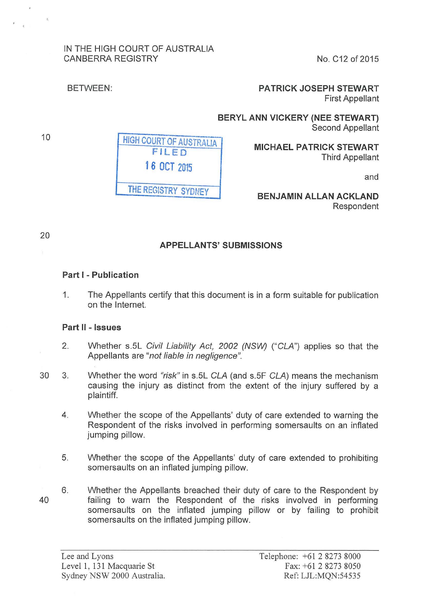### IN THE HIGH COURT OF AUSTRALIA CANBERRA REGISTRY

No. C12 of2015

#### BETWEEN:

**PATRICK JOSEPH STEWART**  First Appellant

**BERYL ANN VICKERY (NEE STEWART)**  Second Appellant

> **MICHAEL PATRICK STEWART**  Third Appellant

> > and

**BENJAMIN ALLAN ACKLAND**  Respondent

### **APPELLANTS' SUBMISSIONS**

#### **Part I- Publication**

1. The Appellants certify that this document is in a form suitable for publication on the Internet.

#### **Part** II - **Issues**

- 2. Whether s.5L Civil Liability Act, 2002 (NSW) ("CLA") applies so that the Appellants are "not liable in negligence".
- 30 3. Whether the word "risk" in s.5L CLA (and s.5F CLA) means the mechanism causing the injury as distinct from the extent of the injury suffered by a plaintiff.
	- 4. Whether the scope of the Appellants' duty of care extended to warning the Respondent of the risks involved in performing somersaults on an inflated jumping pillow.
	- 5. Whether the scope of the Appellants' duty of care extended to prohibiting somersaults on an inflated jumping pillow.
	- 6. Whether the Appellants breached their duty of care to the Respondent by failing to warn the Respondent of the risks involved in performing somersaults on the inflated jumping pillow or by failing to prohibit somersaults on the inflated jumping pillow.

40

HIGH COURT OF AUSTRALIA **F IL ED 16 OCT 2015 THE** REGISTRY SYDNEY

10

20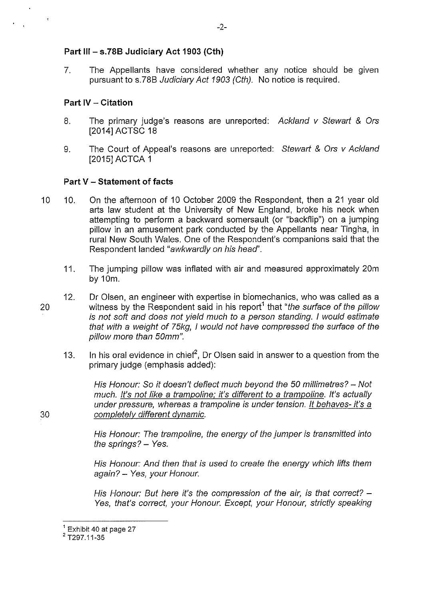#### **Part Ill- s.78B Judiciary Act 1903 (Cth)**

7. The Appellants have considered whether any notice should be given pursuant to s.78B Judiciary Act 1903 (Cth). No notice is required.

#### **Part IV - Citation**

- 8. The primary judge's reasons are unreported: Ackland v Stewart & Ors [2014] ACTSC 18
- 9. The Court of Appeal's reasons are unreported: Stewart & Ors v Ackland [2015] ACTCA 1

#### **Part V - Statement of facts**

- 10 10. On the afternoon of 10 October 2009 the Respondent, then a 21 year old arts law student at the University of New England, broke his neck when attempting to perform a backward somersault (or "backflip") on a jumping pillow in an amusement park conducted by the Appellants near Tingha, in rural New South Wales. One of the Respondent's companions said that the Respondent landed "awkwardly on his head'.
	- 11. The jumping pillow was inflated with air and measured approximately 20m by 10m.
- 12. Dr Olsen, an engineer with expertise in biomechanics, who was called as a 20 witness by the Respondent said in his report<sup>1</sup> that "the surface of the pillow is not soft and does not yield much to a person standing. I would estimate that with a weight of 75kg, I would not have compressed the surface of the pillow more than 50mm".
	- 13. In his oral evidence in chief<sup>2</sup>, Dr Olsen said in answer to a question from the primary judge (emphasis added):

His Honour: So it doesn't deflect much beyond the 50 millimetres?- Not much. It's not like a trampoline; it's different to a trampoline. It's actually under pressure, whereas a trampoline is under tension. It behaves- it's a 30 completely different dvnamic.

> His Honour: The trampoline, the energy of the jumper is transmitted into the springs?  $-$  Yes.

> His Honour: And then that is used to create the energy which lifts them again? - Yes, your Honour.

> His Honour: But here it's the compression of the air, is that correct?  $-$ Yes, that's correct, your Honour. Except, your Honour, strictly speaking

 $1$ Exhibit 40 at page 27

<sup>2</sup>T297.11-35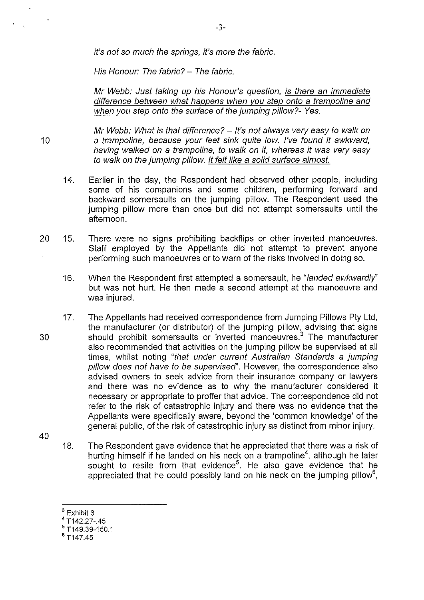it's not so much the springs, it's more the fabric.

His Honour: The fabric? - The fabric.

Mr Webb: Just taking up his Honour's question, is there an immediate difference between what happens when vou step onto a trampoline and when you step onto the surface of the jumping pillow?- Yes.

Mr Webb: What is that difference?  $-$  It's not always very easy to walk on 10 a trampoline, because your feet sink quite low. I've found it awkward, having walked on a trampoline, to walk on it, whereas it was very easy to walk on the jumping pillow. It felt like a solid surface almost.

- 14. Earlier in the day, the Respondent had observed other people, including some of his companions and some children, performing forward and backward somersaults on the jumping pillow. The Respondent used the jumping pillow more than once but did not attempt somersaults until the afternoon.
- 20 15. There were no signs prohibiting backflips or other inverted manoeuvres. Staff employed by the Appellants did not attempt to prevent anyone performing such manoeuvres or to warn of the risks involved in doing so.
	- 16. When the Respondent first attempted a somersault, he "landed awkwardly'' but was not hurt. He then made a second attempt at the manoeuvre and was injured.
- 17. The Appellants had received correspondence from Jumping Pillows Pty Ltd, the manufacturer (or distributor) of the jumping pillow, advising that signs 30 should prohibit somersaults or inverted manoeuvres.<sup>3</sup> The manufacturer also recommended that activities on the jumping pillow be supervised at all times, whilst noting "that under current Australian Standards a jumping pillow does not have to be supervised'. However, the correspondence also advised owners to seek advice from their insurance company or lawyers and there was no evidence as to why the manufacturer considered it necessary or appropriate to proffer that advice. The correspondence did not refer to the risk of catastrophic injury and there was no evidence that the Appellants were specifically aware, beyond the 'common knowledge' of the general public, of the risk of catastrophic injury as distinct from minor injury.
- 40
- 18. The Respondent gave evidence that he appreciated that there was a risk of hurting himself if he landed on his neck on a trampoline<sup>4</sup>, although he later sought to resile from that evidence<sup>5</sup>. He also gave evidence that he appreciated that he could possibly land on his neck on the jumping pillow<sup>6</sup>,
- $3$  Exhibit 6
- <sup>4</sup>T142.27-.45

 $^{6}$  T<sub>147.45</sub>

 $5$  T149.39-150.1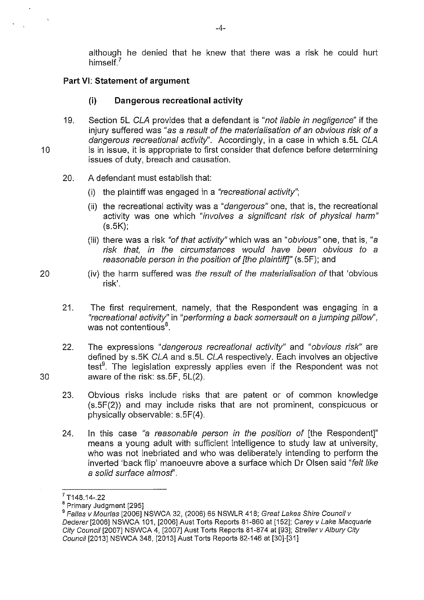although he denied that he knew that there was a risk he could hurt himself<sup>7</sup>

#### **Part VI: Statement of argument**

#### **(i) Dangerous recreational activity**

- 19. Section 5L CLA provides that a defendant is "not liable in negligence" if the injury suffered was "as a result of the materialisation of an obvious risk of a dangerous recreational activity". Accordingly, in a case in which s.5L CLA 10 is in issue, it is appropriate to first consider that defence before determining issues of duty, breach and causation.
	- 20. A defendant must establish that:
		- (i) the plaintiff was engaged in a "recreational activity";
		- (ii) the recreational activity was a "dangerous" one, that is, the recreational activity was one which "involves a significant risk of physical harm" (s.5K);
		- (iii) there was a risk "of that activity" which was an "obvious" one, that is, "a risk that, in the circumstances would have been obvious to a reasonable person in the position of [the plaintiff]" (s.5F); and
- 20 (iv) the harm suffered was the result of the materialisation of that 'obvious risk'.
	- 21. The first requirement, namely, that the Respondent was engaging in a "recreational activity" in "performing a back somersault on a jumping pillow", was not contentious<sup>8</sup>.
- 22. The expressions "dangerous recreational activity" and "obvious risk" are defined by s.5K CLA and s.5L CLA respectively. Each involves an objective test<sup>9</sup>. The legislation expressly applies even if the Respondent was not 30 aware of the risk: ss.5F, 5L(2).
	- 23. Obvious risks include risks that are patent or of common knowledge (s.5F(2)) and may include risks that are not prominent, conspicuous or physically observable: s.5F(4).
	- 24. In this case "a reasonable person in the position of [the Respondent]" means a young adult with sufficient intelligence to study law at university, who was not inebriated and who was deliberately intending to perform the inverted 'back flip' manoeuvre above a surface which Dr Olsen said "felt like a solid surface almosf'.

 $7$ T148.14-.22

<sup>&</sup>lt;sup>8</sup> Primary Judgment [295]

<sup>&</sup>lt;sup>9</sup> Fallas v Mourlas [2006] NSWCA 32, (2006) 65 NSWLR 418; Great Lakes Shire Council v Dederer[2006] NSWCA 101, (2006] Aust Torts Reports 81-860 at [152]; Carey v Lake Macquarie City Council (2007] NSWCA 4, (2007] Aust Torts Reports 81-874 at [93]; Streffer v Albury City Council (2013] NSWCA 348, [2013] Aust Torts Reports 82-146 at [30]-[31]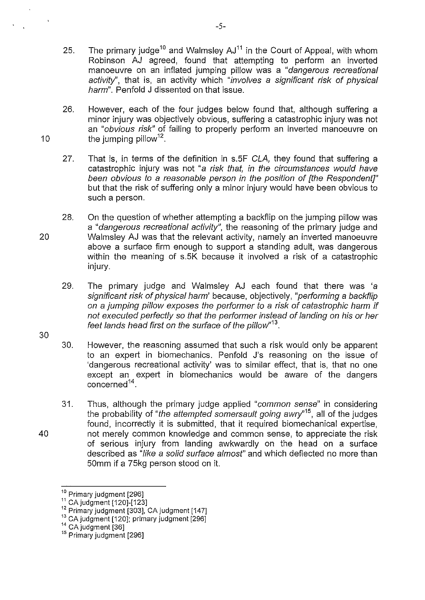- 25. The primary judge<sup>10</sup> and Walmsley  $AJ<sup>11</sup>$  in the Court of Appeal, with whom Robinson AJ agreed, found that attempting to perform an inverted manoeuvre on an inflated jumping pillow was a "dangerous recreational activity", that is, an activity which "involves a significant risk of physical harm". Penfold J dissented on that issue.
- 26. However, each of the four judges below found that, although suffering a minor injury was objectively obvious, suffering a catastrophic injury was not an "obvious risk" of failing to properly perform an inverted manoeuvre on 10  $the$  jumping pillow<sup>12</sup>.
	- 27. That is, in terms of the definition in s.5F CLA, they found that suffering a catastrophic injury was not "a risk that, in the circumstances would have been obvious to a reasonable person in the position of [the Respondent]" but that the risk of suffering only a minor injury would have been obvious to such a person.
- 28. On the question of whether attempting a backflip on the jumping pillow was a "dangerous recreational activity", the reasoning of the primary judge and 20 Walmsley AJ was that the relevant activity, namely an inverted manoeuvre above a surface firm enough to support a standing adult, was dangerous within the meaning of s.5K because it involved a risk of a catastrophic injury.
	- 29. The primary judge and Walmsley AJ each found that there was 'a significant risk of physical harm' because, objectively, "performing a backflip on a jumping pillow exposes the performer to a risk of catastrophic harm if not executed perfectly so that the performer instead of landing on his or her feet lands head first on the surface of the pillow"<sup>13</sup>.
	- 30. However, the reasoning assumed that such a risk would only be apparent to an expert in biomechanics. Penfold J's reasoning on the issue of 'dangerous recreational activity' was to similar effect, that is, that no one except an expert in biomechanics would be aware of the dangers  $\frac{1}{4}$ .
- 31. Thus, although the primary judge applied "common sense" in considering the probability of "the attempted somersault going awry"<sup>15</sup>, all of the judges found, incorrectly it is submitted, that it required biomechanical expertise, 40 not merely common knowledge and common sense, to appreciate the risk of serious injury from landing awkwardly on the head on a surface described as "like a solid surface almost" and which deflected no more than 50mm if a 75kg person stood on it.

30

-5-

 $^{10}$  Primary judgment [296]<br> $^{11}$  CA judgment [120]-[123]

<sup>12</sup> Primary judgment [303], CA judgment [147]

<sup>&</sup>lt;sup>13</sup> CA judgment [120]; primary judgment [296]<br><sup>14</sup> CA judgment [36]

<sup>&</sup>lt;sup>15</sup> Primary judgment [296]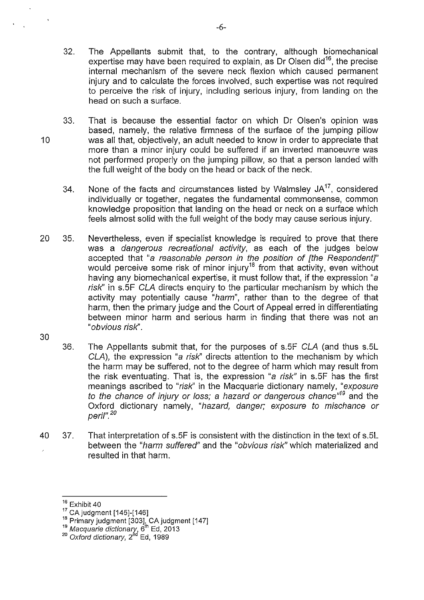- 32. The Appellants submit that, to the contrary, although biomechanical expertise may have been required to explain, as Dr Olsen did<sup>16</sup>, the precise internal mechanism of the severe neck flexion which caused permanent injury and to calculate the forces involved, such expertise was not required to perceive the risk of injury, including serious injury, from landing on the head on such a surface.
- 33. That is because the essential factor on which Dr Olsen's opinion was based, namely, the relative firmness of the surface of the jumping pillow 10 was all that, objectively, an adult needed to know in order to appreciate that more than a minor injury could be suffered if an inverted manoeuvre was not performed properly on the jumping pillow, so that a person landed with the full weight of the body on the head or back of the neck.
	- 34. None of the facts and circumstances listed by Walmsley  $JA^{17}$ , considered individually or together, negates the fundamental commonsense, common knowledge proposition that landing on the head or neck on a surface which feels almost solid with the full weight of the body may cause serious injury.
- 20 35. Nevertheless, even if specialist knowledge is required to prove that there was a dangerous recreational activity, as each of the judges below accepted that "a reasonable person in the position of [the Respondent]" would perceive some risk of minor injury<sup>18</sup> from that activity, even without having any biomechanical expertise, it must follow that, if the expression "a risk" in s.5F CLA directs enquiry to the particular mechanism by which the activity may potentially cause "harm", rather than to the degree of that harm, then the primary judge and the Court of Appeal erred in differentiating between minor harm and serious harm in finding that there was not an "obvious risk".
- 30
- 36. The Appellants submit that, for the purposes of s.5F CLA (and thus s.5L CLA), the expression "a risk'' directs attention to the mechanism by which the harm may be suffered, not to the degree of harm which may result from the risk eventuating. That is, the expression "a risk" in s.5F has the first meanings ascribed to "risk'' in the Macquarie dictionary namely, "exposure to the chance of injury or loss; a hazard or dangerous chance<sup>"19</sup> and the Oxford dictionary namely, "hazard, danger; exposure to mischance or peril". *<sup>20</sup>*
- 40 37. That interpretation of s.5F is consistent with the distinction in the text of s.5L between the "harm suffered" and the "obvious risk" which materialized and resulted in that harm.

 $^{16}$ Exhibit 40<br> $^{17}$  CA judgment [145]-[146]

<sup>&</sup>lt;sup>17</sup> CA judgment [145]-[146]<br><sup>18</sup> Primary judgment [303], CA judgment [147]<br><sup>19</sup> *Macquarie dictionary*, 6<sup>th</sup> Ed, 2013

<sup>&</sup>lt;sup>20</sup> Oxford dictionary, 2<sup>nd</sup> Ed, 1989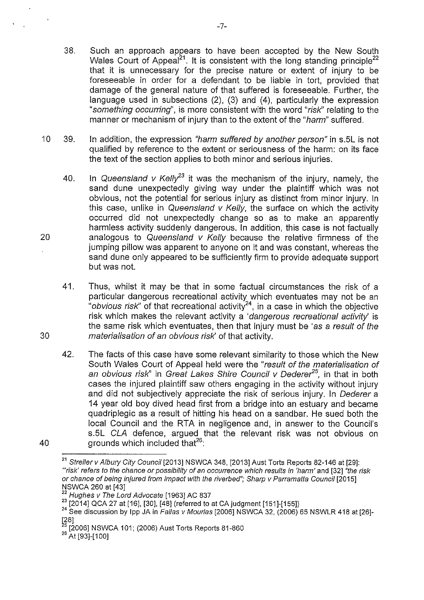- 38. Such an approach appears to have been accepted by the New South Wales Court of Appeal<sup>21</sup>. It is consistent with the long standing principle<sup>22</sup> that it is unnecessary for the precise nature or extent of injury to be foreseeable in order for a defendant to be liable in tort, provided that damage of the general nature of that suffered is foreseeable. Further, the language used in subsections (2), (3) and (4), particularly the expression "something occurring", is more consistent with the word "risk'' relating to the manner or mechanism of injury than to the extent of the "harm" suffered.
- 10 39. In addition, the expression "harm suffered by another person" in s.5L is not qualified by reference to the extent or seriousness of the harm: on its face the text of the section applies to both minor and serious injuries.
- 40. In Queensland v Kelly<sup>23</sup> it was the mechanism of the injury, namely, the sand dune unexpectedly giving way under the plaintiff which was not obvious, not the potential for serious injury as distinct from minor injury. In this case, unlike in Queensland  $v$  Kelly, the surface on which the activity occurred did not unexpectedly change so as to make an apparently harmless activity suddenly dangerous. In addition, this case is not factually 20 analogous to Queensland v Kelly because the relative firmness of the jumping pillow was apparent to anyone on it and was constant, whereas the sand dune only appeared to be sufficiently firm to provide adequate support but was not.
- 41. Thus, whilst it may be that in some factual circumstances the risk of a particular dangerous recreational activity which eventuates may not be an "obvious risk" of that recreational activity<sup>24</sup>, in a case in which the objective risk which makes the relevant activity a '*dangerous recreational activity*' is the same risk which eventuates, then that injury must be 'as a result of the 30 materialisation of an obvious risk' of that activity.
- 42. The facts of this case have some relevant similarity to those which the New South Wales Court of Appeal held were the "result of the materialisation of an obvious risk" in Great Lakes Shire Council v Oedere?*<sup>5</sup> ,* in that in both cases the injured plaintiff saw others engaging in the activity without injury and did not subjectively appreciate the risk of serious injury. In Dederer a 14 year old boy dived head first from a bridge into an estuary and became quadriplegic as a result of hitting his head on a sandbar. He sued both the local Council and the RTA in negligence and, in answer to the Council's s.5L CLA defence, argued that the relevant risk was not obvious on 40  $g$ rounds which included that $^{26}$ :

-7-

<sup>&</sup>lt;sup>21</sup> Streller v Albury City Council [2013] NSWCA 348, [2013] Aust Torts Reports 82-146 at [29]: '"risk' refers to the chance or possibility of an occurrence which results in 'harm' and [32] "the risk or chance of being injured from impact with the riverbed"; Sharp v Parramatta Council [2015] NSWCA 260 at [43]

<sup>&</sup>lt;sup>22</sup> Hughes v The Lord Advocate [1963] AC 837<br><sup>23</sup> [2014] QCA 27 at [16], [30], [48] (referred to at CA judgment [151]-[155])

 $24$  See discussion by lpp JA in Fallas v Mourlas [2006] NSWCA 32, (2006) 65 NSWLR 418 at [26]-

<sup>[28]&</sup>lt;br><sup>25</sup> [2006] NSWCA 101; (2006) Aust Torts Reports 81-860

<sup>&</sup>lt;sup>26</sup> At [93]-[100]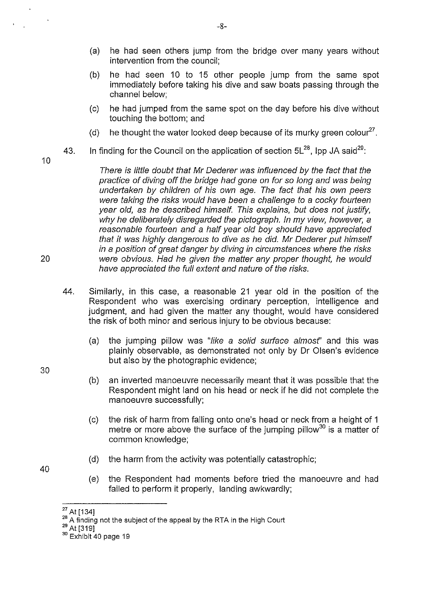- (a) he had seen others jump from the bridge over many years without intervention from the council;
- (b) he had seen 10 to 15 other people jump from the same spot immediately before taking his dive and saw boats passing through the channel below;
- (c) he had jumped from the same spot on the day before his dive without touching the bottom; and
- (d) he thought the water looked deep because of its murky green colour<sup>27</sup>.
- 43. In finding for the Council on the application of section  $5L^{28}$ . Ipp JA said<sup>29</sup>:

10

30

40

There is little doubt that Mr Dederer was influenced by the fact that the practice of diving off the bridge had gone on for so long and was being undertaken by children of his own age. The fact that his own peers were taking the risks would have been a challenge to a cocky fourteen year old, as he described himself. This explains, but does not justify, why he deliberately disregarded the pictograph. In my view, however, a reasonable fourteen and a half year old boy should have appreciated that it was highly dangerous to dive as he did. Mr Dederer put himself in a position of great danger by diving in circumstances where the risks 20 were obvious. Had he given the matter any proper thought, he would have appreciated the full extent and nature of the risks.

- 44. Similarly, in this case, a reasonable 21 year old in the position of the Respondent who was exercising ordinary perception, intelligence and judgment, and had given the matter any thought, would have considered the risk of both minor and serious injury to be obvious because:
	- (a) the jumping pillow was "like a solid surface almost" and this was plainly observable, as demonstrated not only by Dr Olsen's evidence but also by the photographic evidence;
	- (b) an inverted manoeuvre necessarily meant that it was possible that the Respondent might land on his head or neck if he did not complete the manoeuvre successfully;
	- (c) the risk of harm from falling onto one's head or neck from a height of 1 metre or more above the surface of the jumping pillow<sup>30</sup> is a matter of common knowledge;
	- (d) the harm from the activity was potentially catastrophic;
	- (e) the Respondent had moments before tried the manoeuvre and had failed to perform it properly, landing awkwardly;

<sup>&</sup>lt;sup>27</sup> At [134]<br><sup>28</sup> A finding not the subject of the appeal by the RTA in the High Court

 $^{29}$  At [319]

<sup>&</sup>lt;sup>30</sup> Exhibit 40 page 19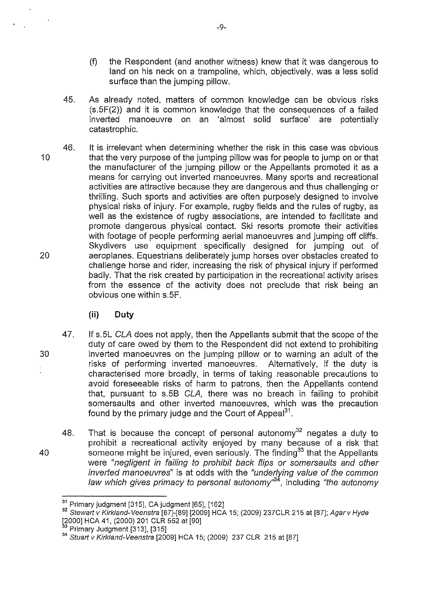- (f) the Respondent (and another witness) knew that it was dangerous to land on his neck on a trampoline, which, objectively, was a less solid surface than the jumping pillow.
- 45. As already noted, matters of common knowledge can be obvious risks (s.5F(2)) and it is common knowledge that the consequences of a failed inverted manoeuvre on an 'almost solid surface' are potentially catastrophic.
- 46. It is irrelevant when determining whether the risk in this case was obvious 10 that the very purpose of the jumping pillow was for people to jump on or that the manufacturer of the jumping pillow or the Appellants promoted it as a means for carrying out inverted manoeuvres. Many sports and recreational activities are attractive because they are dangerous and thus challenging or thrilling. Such sports and activities are often purposely designed to involve physical risks of injury. For example, rugby fields and the rules of rugby, as well as the existence of rugby associations, are intended to facilitate and promote dangerous physical contact. Ski resorts promote their activities with footage of people performing aerial manoeuvres and jumping off cliffs. Skydivers use equipment specifically designed for jumping out of 20 aeroplanes. Equestrians deliberately jump horses over obstacles created to challenge horse and rider, increasing the risk of physical injury if performed badly. That the risk created by participation in the recreational activity arises from the essence of the activity does not preclude that risk being an obvious one within s.5F.
	- **(ii) Duty**

 $\frac{1}{2}$ 

- 47. If s.5L CLA does not apply, then the Appellants submit that the scope of the duty of care owed by them to the Respondent did not extend to prohibiting 30 inverted manoeuvres on the jumping pillow or to warning an adult of the risks of performing inverted manoeuvres. Alternatively, if the duty is characterised more broadly, in terms of taking reasonable precautions to avoid foreseeable risks of harm to patrons, then the Appellants contend that, pursuant to s.5B CLA, there was no breach in failing to prohibit somersaults and other inverted manoeuvres, which was the precaution found by the primary judge and the Court of Appeal<sup>31</sup>.
- 48. That is because the concept of personal autonomy<sup>32</sup> negates a duty to prohibit a recreational activity enjoyed by many because of a risk that 40 someone might be injured, even seriously. The finding<sup>33</sup> that the Appellants were "negligent in failing to prohibit back flips or somersaults and other inverted manoeuvres" is at odds with the "underlying value of the common law which gives primacy to personal autonomy<sup>34</sup>, including "the autonomy

 $^{\rm 31}$  Primary judgment [315], CA judgment [65], [162]<br> $^{\rm 32}$  Stewart v Kirkland-Veenstra [87]-[89] [2009] HCA 15; (2009) 237CLR 215 at [87]; Agar v Hyde [2000] HCA 41, (2000) 201 CLR 552 at [90]<br><sup>33</sup> Primary Judgment [313], [315]

<sup>&</sup>lt;sup>34</sup> Stuart v Kirkland-Veenstra [2009] HCA 15; (2009) 237 CLR 215 at [87]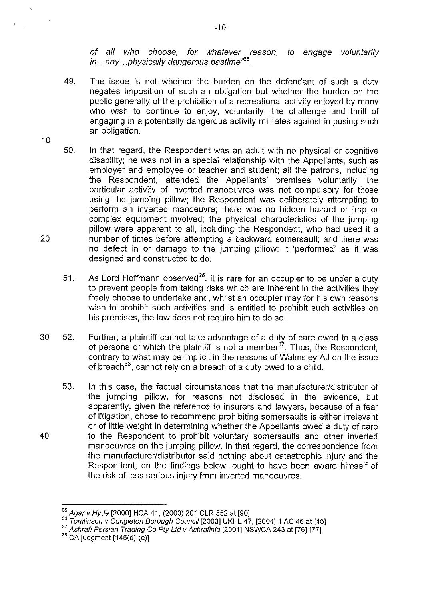of all who choose, for whatever reason, to engage voluntarily in... any ... physically dangerous pastime"<sup>35</sup>.

- 49. The issue is not whether the burden on the defendant of such a duty negates imposition of such an obligation but whether the burden on the public generally of the prohibition of a recreational activity enjoyed by many who wish to continue to enjoy, voluntarily, the challenge and thrill of engaging in a potentially dangerous activity militates against imposing such an obligation.
- 10
- 50. In that regard, the Respondent was an adult with no physical or cognitive disability; he was not in a special relationship with the Appellants, such as employer and employee or teacher and student; all the patrons, including the Respondent, attended the Appellants' premises voluntarily; the particular activity of inverted manoeuvres was not compulsory for those using the jumping pillow; the Respondent was deliberately attempting to perform an inverted manoeuvre; there was no hidden hazard or trap or complex equipment involved; the physical characteristics of the jumping pillow were apparent to all, including the Respondent, who had used it a 20 number of times before attempting a backward somersault; and there was no defect in or damage to the jumping pillow: it 'performed' as it was designed and constructed to do.
	- 51. As Lord Hoffmann observed<sup>36</sup>, it is rare for an occupier to be under a duty to prevent people from taking risks which are inherent in the activities they freely choose to undertake and, whilst an occupier may for his own reasons wish to prohibit such activities and is entitled to prohibit such activities on his premises, the law does not require him to do so.
- 30 52. Further, a plaintiff cannot take advantage of a duty of care owed to a class of persons of which the plaintiff is not a member  $3^7$ . Thus, the Respondent, contrary to what may be implicit in the reasons of Walmsley AJ on the issue of breach<sup>38</sup>, cannot rely on a breach of a duty owed to a child.
- 53. In this case, the factual circumstances that the manufacturer/distributor of the jumping pillow, for reasons not disclosed in the evidence, but apparently, given the reference to insurers and lawyers, because of a fear of litigation, chose to recommend prohibiting somersaults is either irrelevant or of little weight in determining whether the Appellants owed a duty of care 40 to the Respondent to prohibit voluntary somersaults and other inverted manoeuvres on the jumping pillow. In that regard, the correspondence from the manufacturer/distributor said nothing about catastrophic injury and the Respondent, on the findings below, ought to have been aware himself of the risk of less serious injury from inverted manoeuvres.

-10-

 $^{35}$  Agar v Hyde [2000] HCA 41; (2000) 201 CLR 552 at [90]<br><sup>36</sup> Tomlinson v Congleton Borough Council [2003] UKHL 47, [2004] 1 AC 46 at [45]<br><sup>37</sup> Ashrafi Persian Trading Co Pty Ltd v Ashrafinia [2001] NSWCA 243 at [76]-

 $38$  CA judgment  $[145(d)-(e)]$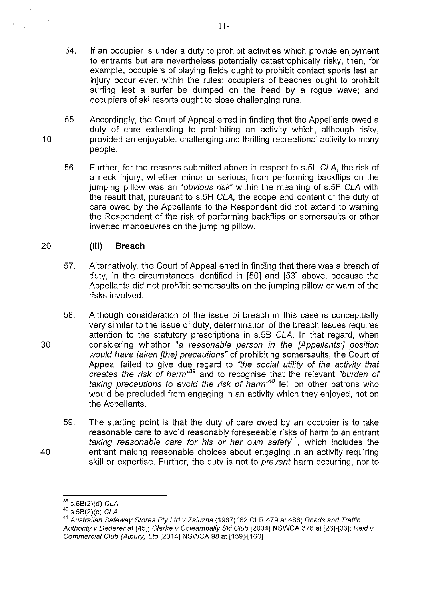- 54. If an occupier is under a duty to prohibit activities which provide enjoyment to entrants but are nevertheless potentially catastrophically risky, then, for example, occupiers of playing fields ought to prohibit contact sports lest an injury occur even within the rules; occupiers of beaches ought to prohibit surfing lest a surfer be dumped on the head by a rogue wave; and occupiers of ski resorts ought to close challenging runs.
- 55. Accordingly, the Court of Appeal erred in finding that the Appellants owed a duty of care extending to prohibiting an activity which, although risky, 10 provided an enjoyable, challenging and thrilling recreational activity to many people.
	- 56. Further, for the reasons submitted above in respect to s.5L CLA, the risk of a neck injury, whether minor or serious, from performing backflips on the jumping pillow was an "obvious risk" within the meaning of s.5F CLA with the result that, pursuant to s.5H *CLA,* the scope and content of the duty of care owed by the Appellants to the Respondent did not extend to warning the Respondent of the risk of performing backflips or somersaults or other inverted manoeuvres on the jumping pillow.

### 20 **(iii) Breach**

- 57. Alternatively, the Court of Appeal erred in finding that there was a breach of duty, in the circumstances identified in [50] and [53] above, because the Appellants did not prohibit somersaults on the jumping pillow or warn of the risks involved.
- 58. Although consideration of the issue of breach in this case is conceptually very similar to the issue of duty, determination of the breach issues requires attention to the statutory prescriptions in s.5B *CLA.* In that regard, when 30 considering whether "a reasonable person in the [Appellants'] position would have taken [the] precautions" of prohibiting somersaults, the Court of Appeal failed to give due regard to "the social utility of the activity that creates the risk of harm<sup>39</sup> and to recognise that the relevant "burden of taking precautions to avoid the risk of harm<sup> $n40$ </sup> fell on other patrons who would be precluded from engaging in an activity which they enjoyed, not on the Appellants.
- 59. The starting point is that the duty of care owed by an occupier is to take reasonable care to avoid reasonably foreseeable risks of harm to an entrant *taking reasonable care for his or her own safety*<sup>41</sup>, which includes the 40 entrant making reasonable choices about engaging in an activity requiring skill or expertise. Further, the duty is not to prevent harm occurring, nor to

 $39$  s.5B(2)(d) CLA

 $^{40}$  s.5B(2)(c) CLA

<sup>41</sup>Australian Safeway Stores Pty Ltd v Zaluzna (1987)162 CLR 479 at 488; Roads and Traffic Authority v Dederer at [45]; Clarke v Coleambally Ski Club [2004] NSWCA 376 at [26]-[33]; Reid v Commercial Club (Albury) Ltd [2014] NSWCA 98 at [159]-[160]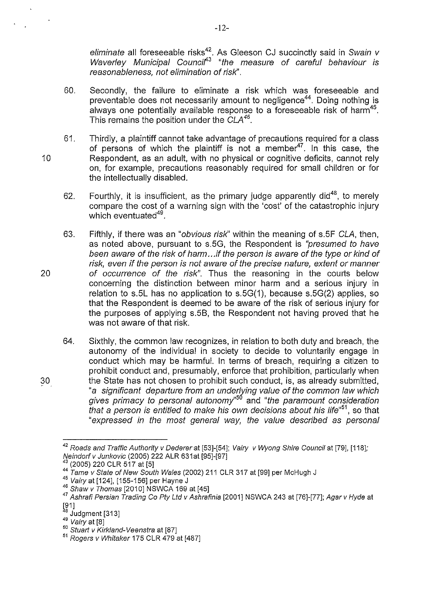eliminate all foreseeable risks<sup>42</sup>. As Gleeson CJ succinctly said in Swain v Waverley Municipal Councif'*<sup>3</sup>*"the measure of careful behaviour is reasonableness, not elimination of risk".

- 60. Secondly, the failure to eliminate a risk which was foreseeable and preventable does not necessarily amount to negligence<sup>44</sup>. Doing nothing is always one potentially available response to a foreseeable risk of harm<sup>45</sup>. This remains the position under the CLA*46.*
- 61. Thirdly, a plaintiff cannot take advantage of precautions required for a class of persons of which the plaintiff is not a member  $47$ . In this case, the 10 Respondent, as an adult, with no physical or cognitive deficits, cannot rely on, for example, precautions reasonably required for small children or for the intellectually disabled.
	- 62. Fourthly, it is insufficient, as the primary judge apparently did<sup>48</sup>, to merely compare the cost of a warning sign with the 'cost' of the catastrophic injury which eventuated<sup>49</sup>.
- 63. Fifthly, if there was an "obvious risk" within the meaning of s.5F CLA, then, as noted above, pursuant to s.5G, the Respondent is "presumed to have been aware of the risk of harm .. .if the person is aware of the type or kind of risk, even if the person is not aware of the precise nature, extent or manner 20 of occurrence of the risk". Thus the reasoning in the courts below concerning the distinction between minor harm and a serious injury in relation to s.5L has no application to s.5G(1), because s.5G(2) applies, so that the Respondent is deemed to be aware of the risk of serious injury for the purposes of applying s.5B, the Respondent not having proved that he was not aware of that risk.
- 64. Sixthly, the common law recognizes, in relation to both duty and breach, the autonomy of the individual in society to decide to voluntarily engage in conduct which may be harmful. In terms of breach, requiring a citizen to prohibit conduct and, presumably, enforce that prohibition, particularly when 30 the State has not chosen to prohibit such conduct, is, as already submitted, "a significant departure from an underlying value of the common law which gives primacy to personal autonomy<sup>"50</sup> and "the paramount consideration that a person is entitled to make his own decisions about his life"*<sup>51</sup> ,* so that "expressed in the most general way, the value described as personal

-12-

 $^{42}$  Roads and Traffic Authority v Dederer at [53]-[54]; Vairy v Wyong Shire Council at [79], [118];<br>Neindorf v Junkovic (2005) 222 ALR 631at [95]-[97]

 $^{43}$  (2005) 220 CLR 517 at [5]<br> $^{44}$  Tame v State of New South Wales (2002) 211 CLR 317 at [99] per McHugh J

<sup>45</sup> Vairy at [124], [155-156] per Hayne J<br>46 Shaw v Thomas [2010] NSWCA 169 at [45]

<sup>47</sup> Ashrafi Persian Trading Co Pty Ltd v Ashrafinia [2001] NSWCA 243 at [76]-[77]; Agar v Hyde at [91]<br><sup>48</sup> Judgment [313]<br><sup>49</sup> Vairy at [8]<br><sup>50</sup> Stuart v Kirkland-Veenstra at [87]

 $51$  Rogers v Whitaker 175 CLR 479 at [487]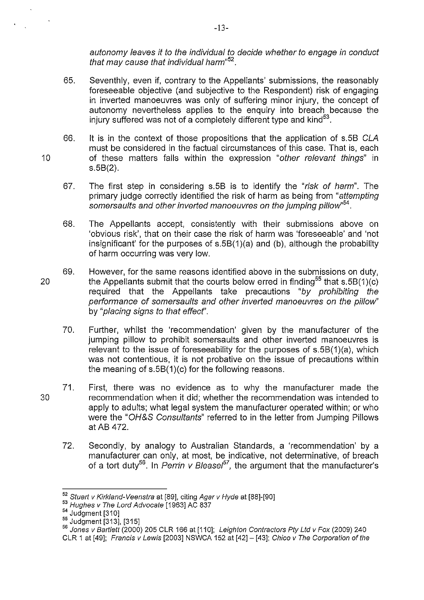autonomy leaves it to the individual to decide whether to engage in conduct that may cause that individual harm"<sup>52</sup>.

- 65. Seventhly, even if, contrary to the Appellants' submissions, the reasonably foreseeable objective (and subjective to the Respondent) risk of engaging in inverted manoeuvres was only of suffering minor injury, the concept of autonomy nevertheless applies to the enquiry into breach because the injury suffered was not of a completely different type and kind $53$ .
- 66. It is in the context of those propositions that the application of s.5B CLA must be considered in the factual circumstances of this case. That is, each 10 of these matters falls within the expression "other relevant things" in s.5B(2).
	- 67. The first step in considering s.5B is to identify the "risk of harm". The primary judge correctly identified the risk of harm as being from "attempting" somersaults and other inverted manoeuvres on the jumping pillow"<sup>54</sup>.
	- 68. The Appellants accept, consistently with their submissions above on 'obvious risk', that on their case the risk of harm was 'foreseeable' and 'not insignificant' for the purposes of s.5B(1)(a) and (b), although the probability of harm occurring was very low.
- 69. However, for the same reasons identified above in the submissions on duty, 20 the Appellants submit that the courts below erred in finding<sup>55</sup> that  $s.5B(1)(c)$ required that the Appellants take precautions "by prohibiting the performance of somersaults and other inverted manoeuvres on the pillow'' by "placing signs to that effecf'.
	- 70. Further, whilst the 'recommendation' given by the manufacturer of the jumping pillow to prohibit somersaults and other inverted manoeuvres is relevant to the issue of foreseeability for the purposes of s.5B(1)(a), which was not contentious, it is not probative on the issue of precautions within the meaning of s.5B(1)(c) for the following reasons.
- 71. First, there was no evidence as to why the manufacturer made the 30 recommendation when it did; whether the recommendation was intended to apply to adults; what legal system the manufacturer operated within; or who were the "OH&S Consultants" referred to in the letter from Jumping Pillows atAB 472.
	- 72. Secondly, by analogy to Australian Standards, a 'recommendation' by a manufacturer can only, at most, be indicative, not determinative, of breach of a tort duty<sup>56</sup>. In Perrin v Bleasel<sup>57</sup>, the argument that the manufacturer's

-13-

<sup>&</sup>lt;sup>52</sup> Stuart v Kirkland-Veenstra at [89], citing Agar v Hyde at [88]-[90]

<sup>53</sup> Hughes v The Lord Advocate [1963] AC 837<br><sup>54</sup> Judgment [310]

<sup>55</sup> Judgment [313], [315]<br>55 Judgment [313], [315]<br>56 *Jones v Bartlett* (2000) 205 CLR 166 at [110]; *Leighton Contractors Pty Ltd v Fox* (2009) 240 CLR 1 at [49]; Francis v Lewis [2003] NSWCA 152 at [42]- [43]; Chico v The Corporation of the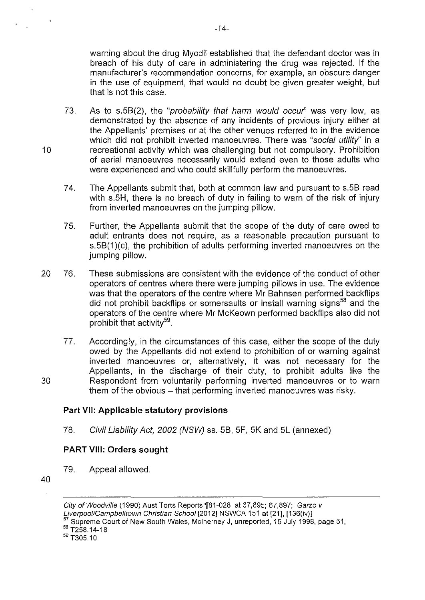warning about the drug Myodil established that the defendant doctor was in breach of his duty of care in administering the drug was rejected. If the manufacturer's recommendation concerns, for example, an obscure danger in the use of equipment, that would no doubt be given greater weight, but that is not this case.

- 73. As to s.5B(2), the "probability that harm would occw" was very low, as demonstrated by the absence of any incidents of previous injury either at the Appellants' premises or at the other venues referred to in the evidence which did not prohibit inverted manoeuvres. There was "social utility" in a 10 recreational activity which was challenging but not compulsory. Prohibition of aerial manoeuvres necessarily would extend even to those adults who were experienced and who could skillfully perform the manoeuvres.
	- 74. The Appellants submit that, both at common law and pursuant to s.5B read with s.5H, there is no breach of duty in failing to warn of the risk of injury from inverted manoeuvres on the jumping pillow.
	- 75. Further, the Appellants submit that the scope of the duty of care owed to adult entrants does not require, as a reasonable precaution pursuant to s.5B(1)(c), the prohibition of adults performing inverted manoeuvres on the jumping pillow.
- 20 76. These submissions are consistent with the evidence of the conduct of other operators of centres where there were jumping pillows in use. The evidence was that the operators of the centre where Mr Bahnsen performed backflips did not prohibit backflips or somersaults or install warning signs<sup>58</sup> and the operators of the centre where Mr McKeown performed backflips also did not prohibit that activity<sup>59</sup>.
- 77. Accordingly, in the circumstances of this case, either the scope of the duty owed by the Appellants did not extend to prohibition of or warning against inverted manoeuvres or, alternatively, it was not necessary for the Appellants, in the discharge of their duty, to prohibit adults like the 30 Respondent from voluntarily performing inverted manoeuvres or to warn them of the obvious - that performing inverted manoeuvres was risky.

#### **Part VII: Applicable statutory provisions**

78. Civil Liability Act, 2002 (NSW) ss. 5B, 5F, 5K and 5L (annexed)

#### **PART VIII: Orders sought**

79. Appeal allowed.

40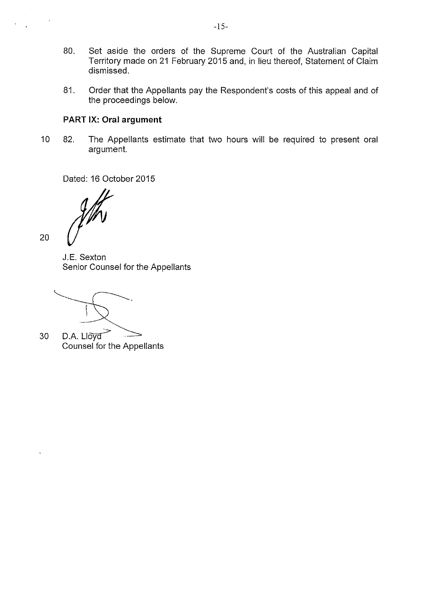- 80. Set aside the orders of the Supreme Court of the Australian Capital Territory made on 21 February 2015 and, in lieu thereof, Statement of Claim dismissed.
- 81. Order that the Appellants pay the Respondent's costs of this appeal and of the proceedings below.

#### **PART** IX: **Oral argument**

10 82. The Appellants estimate that two hours will be required to present oral argument.

Dated: 16 October 2015

J.E. Sexton Senior Counsel for the Appellants

20

30 D.A. Lloyd Counsel for the Appellants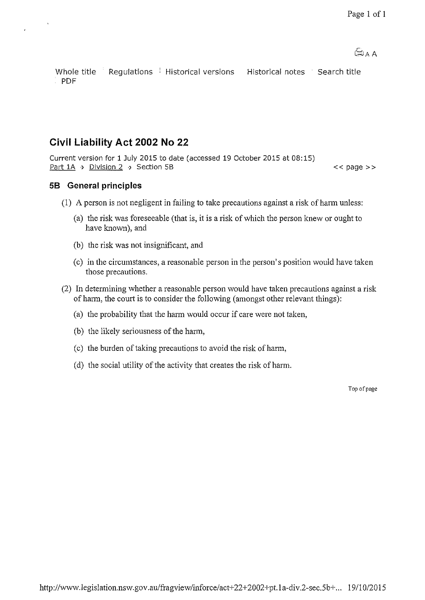Whole title Regulations Historical versions Historical notes Search title PDF

## **Civil Liability Act 2002 No 22**

Current version for 1 July 2015 to date (accessed 19 October 2015 at 08:15) Part 1A > Division 2 > Section 5B

 $<<$  page  $>>$ 

#### **58 General principles**

- (1) A person is not negligent in failing to take precautions against a risk of harm unless:
	- (a) the risk was foreseeable (that is, it is a risk of which the person knew or ought to have known), and
	- (b) the risk was not insignificant, and
	- (c) in the circumstances, a reasonable person in the person's position would have taken those precautions.
- (2) In determining whether a reasonable person would have taken precautions against a risk of hann, the court is to consider the following (amongst other relevant things):
	- (a) the probability that the harm would occur if care were not taken,
	- (b) the likely seriousness of the harm,
	- (c) the burden of taking precautions to avoid the risk of hann,
	- (d) the social utility of the activity that creates the risk of harm.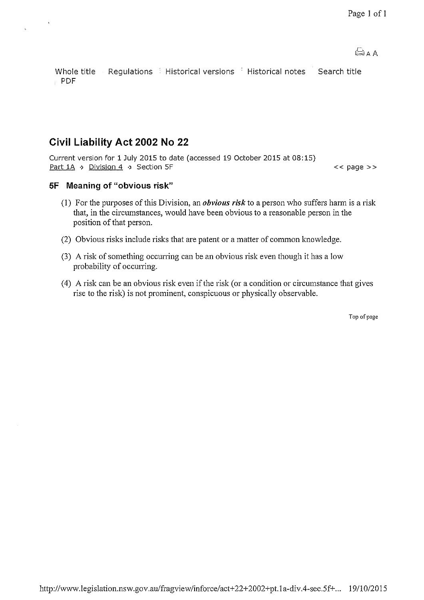Whole title Regulations Historical versions Historical notes Search title PDF

# **Civil Liability Act 2002 No 22**

 $\bar{a}$ 

Current version for 1 July 2015 to date (accessed 19 October 2015 at 08:15) Part 1A ·> Division 4 ·> Section 5F << page >>

### **SF Meaning of "obvious risk"**

- (I) For the purposes of this Division, an *obvious risk* to a person who suffers hann is a risk that, in the circumstances, would have been obvious to a reasonable person in the position of that person.
- (2) Obvious risks include risks that are patent or a matter of common knowledge.
- (3) A risk of something occurring can be an obvious risk even though it has a low probability of occurring.
- (4) A risk can be an obvious risk even if the risk (or a condition or circumstance that gives rise to the risk) is not prominent, conspicuous or physically observable.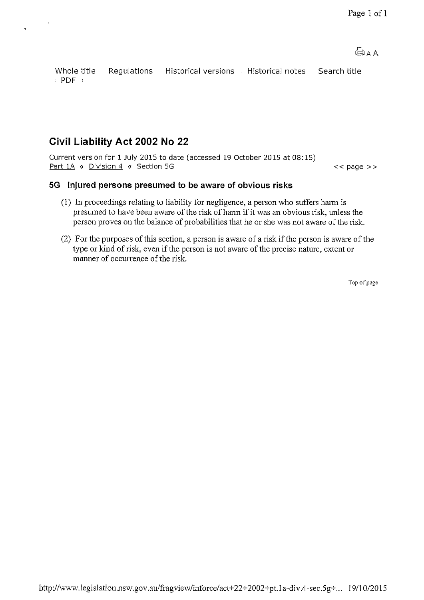Whole title E Regulations E Historical versions E Historical notes E Search title  $\rightarrow$  PDF  $\rightarrow$ 

# **Civil Liability Act 2002 No 22**

 $\bar{\mathbf{z}}$ 

Current version for 1 July 2015 to date (accessed 19 October 2015 at 08:15) Part 1A ·> Division 4 ·> Section 5G

 $<<$  page  $>>$ 

#### **5G Injured persons presumed to be aware of obvious risks**

- (1) In proceedings relating to liability for negligence, a person who suffers hann is presumed to have been aware of the risk of harm if it was an obvious risk, unless the person proves on the balance of probabilities that he or she was not aware of the risk.
- (2) For the purposes of this section, a person is aware of a risk if the person is aware of the type or kind of risk, even if the person is not aware of the precise nature, extent or manner of occurrence of the risk.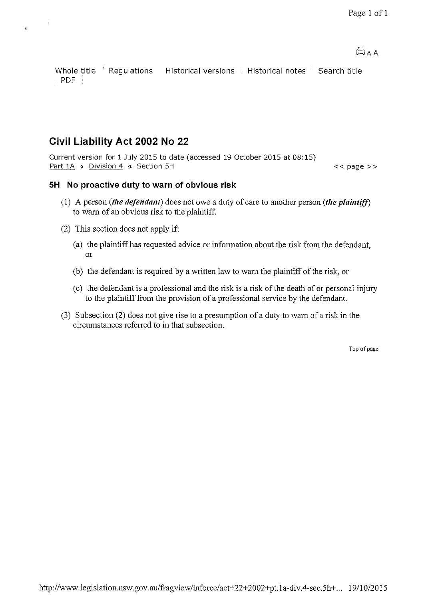$A \circ \bigoplus$ 

Whole title Begulations Historical versions BHistorical notes Bearch title  $\cdot$  PDF  $\cdot$ 

# **Civil Liability Act 2002 No 22**

 $\ddot{\circ}$ 

Current version for 1 July 2015 to date (accessed 19 October 2015 at 08:15) Part 1A > Division 4 > Section 5H

 $<<$  page  $>>$ 

### **5H No proactive duty to warn of obvious risk**

- (I) A person *(the defendant)* does not owe a duty of care to another person *(the plaintiff)*  to warn of an obvious risk to the plaintiff.
- (2) This section does not apply if:
	- (a) the plaintiff has requested advice or infonnation about the risk from the defendant, or
	- (b) the defendant is required by a written law to warn the plaintiff of the risk, or
	- (c) the defendant is a professional and the risk is a risk of the death of or personal injury to the plaintiff from the provision of a professional service by the defendant
- (3) Subsection (2) does not give rise to a presumption of a duty to warn of a risk in the circumstances referred to in that subsection.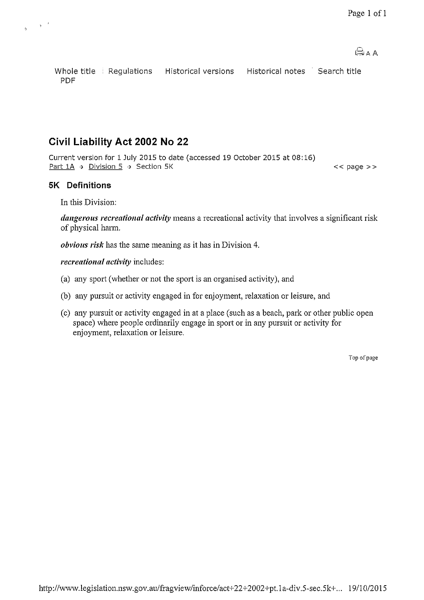$<<$  page  $>>$ 

Whole title Regulations Historical versions Historical notes Search title PDF

## **Civil Liability Act 2002 No 22**

Current version for 1 July 2015 to date (accessed 19 October 2015 at 08:16) Part 1A > Division 5 > Section 5K

## **5K Definitions**

 $\begin{smallmatrix}&&&&3\\&&&&&\\&\mathfrak{h}&\mathfrak{h}&\mathfrak{h} \end{smallmatrix}$ 

In this Division:

*dangerous recreational activity* means a recreational activity that involves a significant risk of physical harm.

*obvious risk* has the same meaning as it has in Division 4.

*recreational activity* includes:

- (a) any sport (whether or not the sport is an organised activity), and
- (b) any pursuit or activity engaged in for enjoyment, relaxation or leisure, and
- (c) any pursuit or activity engaged in at a place (such as a beach, park or other public open space) where people ordinarily engage in sport or in any pursuit or activity for enjoyment, relaxation or leisure.